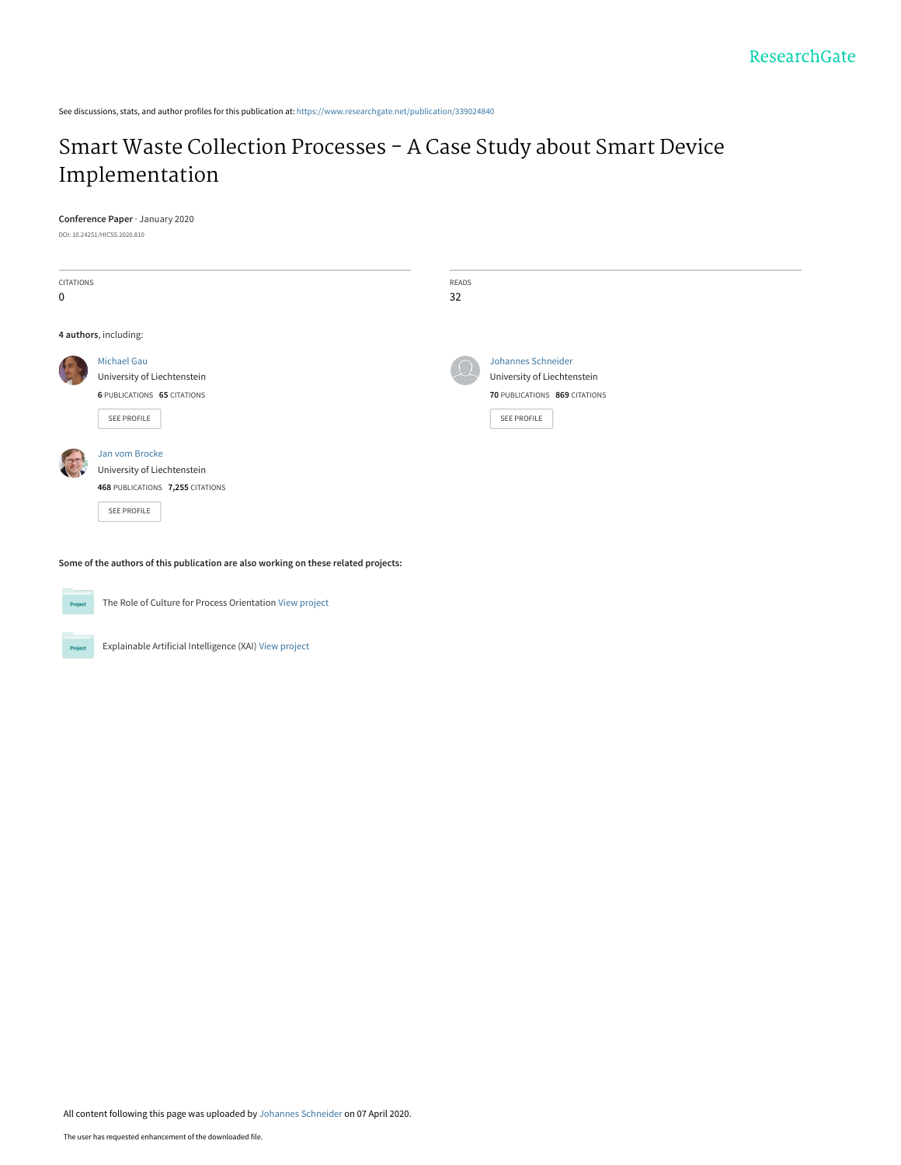See discussions, stats, and author profiles for this publication at: [https://www.researchgate.net/publication/339024840](https://www.researchgate.net/publication/339024840_Smart_Waste_Collection_Processes_-_A_Case_Study_about_Smart_Device_Implementation?enrichId=rgreq-2dd633423f79a5816771389b58af323c-XXX&enrichSource=Y292ZXJQYWdlOzMzOTAyNDg0MDtBUzo4Nzc4MDUzMTUyOTMxODdAMTU4NjI5NjUwNDU4Nw%3D%3D&el=1_x_2&_esc=publicationCoverPdf)

# [Smart Waste Collection Processes - A Case Study about Smart Device](https://www.researchgate.net/publication/339024840_Smart_Waste_Collection_Processes_-_A_Case_Study_about_Smart_Device_Implementation?enrichId=rgreq-2dd633423f79a5816771389b58af323c-XXX&enrichSource=Y292ZXJQYWdlOzMzOTAyNDg0MDtBUzo4Nzc4MDUzMTUyOTMxODdAMTU4NjI5NjUwNDU4Nw%3D%3D&el=1_x_3&_esc=publicationCoverPdf) Implementation

#### **Conference Paper** · January 2020

DOI: 10.24251/HICSS.2020.810

| CITATIONS<br>$\mathbf 0$ |                                                                                                  | READS<br>32 |                                                                                                                 |
|--------------------------|--------------------------------------------------------------------------------------------------|-------------|-----------------------------------------------------------------------------------------------------------------|
| 4 authors, including:    |                                                                                                  |             |                                                                                                                 |
|                          | <b>Michael Gau</b><br>University of Liechtenstein<br>6 PUBLICATIONS 65 CITATIONS<br>SEE PROFILE  |             | <b>Johannes Schneider</b><br>University of Liechtenstein<br>70 PUBLICATIONS 869 CITATIONS<br><b>SEE PROFILE</b> |
|                          | Jan vom Brocke<br>University of Liechtenstein<br>468 PUBLICATIONS 7,255 CITATIONS<br>SEE PROFILE |             |                                                                                                                 |

**Some of the authors of this publication are also working on these related projects:**



The Role of Culture for Process Orientation [View project](https://www.researchgate.net/project/The-Role-of-Culture-for-Process-Orientation?enrichId=rgreq-2dd633423f79a5816771389b58af323c-XXX&enrichSource=Y292ZXJQYWdlOzMzOTAyNDg0MDtBUzo4Nzc4MDUzMTUyOTMxODdAMTU4NjI5NjUwNDU4Nw%3D%3D&el=1_x_9&_esc=publicationCoverPdf)

Explainable Artificial Intelligence (XAI) [View project](https://www.researchgate.net/project/Explainable-Artificial-Intelligence-XAI-3?enrichId=rgreq-2dd633423f79a5816771389b58af323c-XXX&enrichSource=Y292ZXJQYWdlOzMzOTAyNDg0MDtBUzo4Nzc4MDUzMTUyOTMxODdAMTU4NjI5NjUwNDU4Nw%3D%3D&el=1_x_9&_esc=publicationCoverPdf) Project

All content following this page was uploaded by [Johannes Schneider](https://www.researchgate.net/profile/Johannes_Schneider22?enrichId=rgreq-2dd633423f79a5816771389b58af323c-XXX&enrichSource=Y292ZXJQYWdlOzMzOTAyNDg0MDtBUzo4Nzc4MDUzMTUyOTMxODdAMTU4NjI5NjUwNDU4Nw%3D%3D&el=1_x_10&_esc=publicationCoverPdf) on 07 April 2020.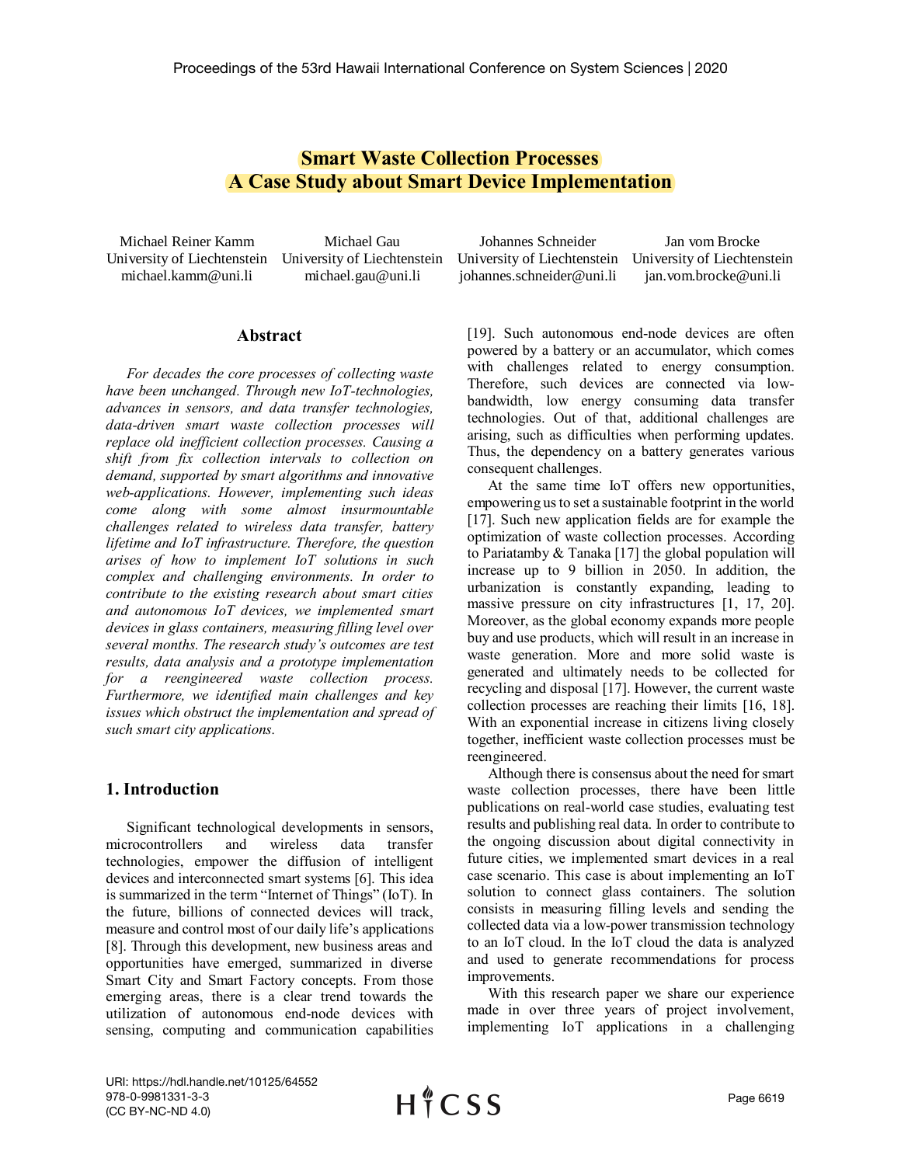# **Smart Waste Collection Processes A Case Study about Smart Device Implementation**

Michael Reiner Kamm University of Liechtenstein University of Liechtenstein michael.kamm@uni.li

Michael Gau michael.gau@uni.li

Johannes Schneider University of Liechtenstein University of Liechtenstein johannes.schneider@uni.li Jan vom Brocke jan.vom.brocke@uni.li

## **Abstract**

*For decades the core processes of collecting waste have been unchanged. Through new IoT-technologies, advances in sensors, and data transfer technologies, data-driven smart waste collection processes will replace old inefficient collection processes. Causing a shift from fix collection intervals to collection on demand, supported by smart algorithms and innovative web-applications. However, implementing such ideas come along with some almost insurmountable challenges related to wireless data transfer, battery lifetime and IoT infrastructure. Therefore, the question arises of how to implement IoT solutions in such complex and challenging environments. In order to contribute to the existing research about smart cities and autonomous IoT devices, we implemented smart devices in glass containers, measuring filling level over several months. The research study's outcomes are test results, data analysis and a prototype implementation for a reengineered waste collection process. Furthermore, we identified main challenges and key issues which obstruct the implementation and spread of such smart city applications.* 

# **1. Introduction**

Significant technological developments in sensors, microcontrollers and wireless data transfer technologies, empower the diffusion of intelligent devices and interconnected smart systems [6]. This idea is summarized in the term "Internet of Things" (IoT). In the future, billions of connected devices will track, measure and control most of our daily life's applications [8]. Through this development, new business areas and opportunities have emerged, summarized in diverse Smart City and Smart Factory concepts. From those emerging areas, there is a clear trend towards the utilization of autonomous end-node devices with sensing, computing and communication capabilities [19]. Such autonomous end-node devices are often powered by a battery or an accumulator, which comes with challenges related to energy consumption. Therefore, such devices are connected via lowbandwidth, low energy consuming data transfer technologies. Out of that, additional challenges are arising, such as difficulties when performing updates. Thus, the dependency on a battery generates various consequent challenges.

At the same time IoT offers new opportunities, empowering us to set a sustainable footprint in the world [17]. Such new application fields are for example the optimization of waste collection processes. According to Pariatamby & Tanaka [17] the global population will increase up to 9 billion in 2050. In addition, the urbanization is constantly expanding, leading to massive pressure on city infrastructures [1, 17, 20]. Moreover, as the global economy expands more people buy and use products, which will result in an increase in waste generation. More and more solid waste is generated and ultimately needs to be collected for recycling and disposal [17]. However, the current waste collection processes are reaching their limits [16, 18]. With an exponential increase in citizens living closely together, inefficient waste collection processes must be reengineered.

Although there is consensus about the need for smart waste collection processes, there have been little publications on real-world case studies, evaluating test results and publishing real data. In order to contribute to the ongoing discussion about digital connectivity in future cities, we implemented smart devices in a real case scenario. This case is about implementing an IoT solution to connect glass containers. The solution consists in measuring filling levels and sending the collected data via a low-power transmission technology to an IoT cloud. In the IoT cloud the data is analyzed and used to generate recommendations for process improvements.

With this research paper we share our experience made in over three years of project involvement, implementing IoT applications in a challenging

URI: https://hdl.handle.net/10125/64552 978-0-9981331-3-3 (CC BY-NC-ND 4.0)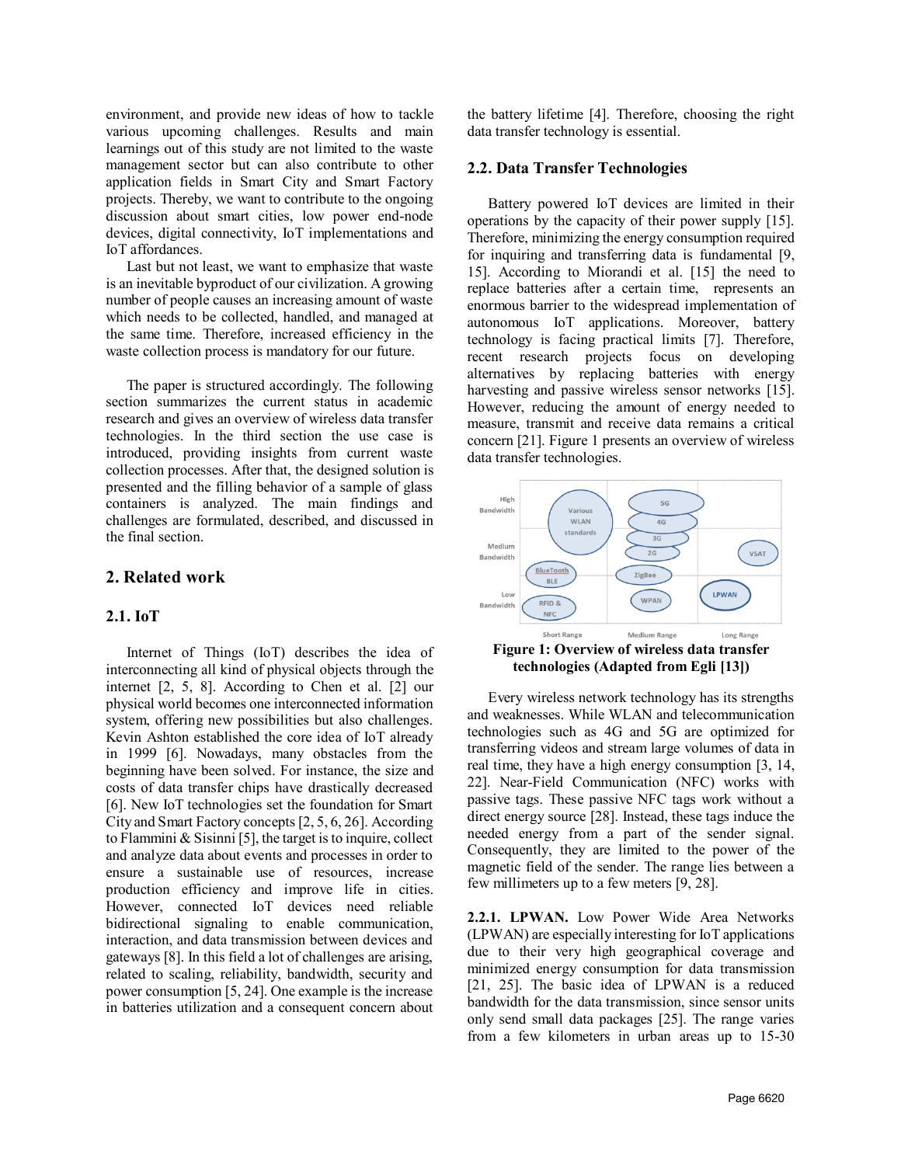environment, and provide new ideas of how to tackle various upcoming challenges. Results and main learnings out of this study are not limited to the waste management sector but can also contribute to other application fields in Smart City and Smart Factory projects. Thereby, we want to contribute to the ongoing discussion about smart cities, low power end-node devices, digital connectivity, IoT implementations and IoT affordances.

Last but not least, we want to emphasize that waste is an inevitable byproduct of our civilization. A growing number of people causes an increasing amount of waste which needs to be collected, handled, and managed at the same time. Therefore, increased efficiency in the waste collection process is mandatory for our future.

The paper is structured accordingly. The following section summarizes the current status in academic research and gives an overview of wireless data transfer technologies. In the third section the use case is introduced, providing insights from current waste collection processes. After that, the designed solution is presented and the filling behavior of a sample of glass containers is analyzed. The main findings and challenges are formulated, described, and discussed in the final section.

# **2. Related work**

## **2.1. IoT**

Internet of Things (IoT) describes the idea of interconnecting all kind of physical objects through the internet [2, 5, 8]. According to Chen et al. [2] our physical world becomes one interconnected information system, offering new possibilities but also challenges. Kevin Ashton established the core idea of IoT already in 1999 [6]. Nowadays, many obstacles from the beginning have been solved. For instance, the size and costs of data transfer chips have drastically decreased [6]. New IoT technologies set the foundation for Smart City and Smart Factory concepts [2, 5, 6, 26]. According to Flammini & Sisinni [5], the target is to inquire, collect and analyze data about events and processes in order to ensure a sustainable use of resources, increase production efficiency and improve life in cities. However, connected IoT devices need reliable bidirectional signaling to enable communication, interaction, and data transmission between devices and gateways [8]. In this field a lot of challenges are arising, related to scaling, reliability, bandwidth, security and power consumption [5, 24]. One example is the increase in batteries utilization and a consequent concern about the battery lifetime [4]. Therefore, choosing the right data transfer technology is essential.

#### **2.2. Data Transfer Technologies**

Battery powered IoT devices are limited in their operations by the capacity of their power supply [15]. Therefore, minimizing the energy consumption required for inquiring and transferring data is fundamental [9, 15]. According to Miorandi et al. [15] the need to replace batteries after a certain time, represents an enormous barrier to the widespread implementation of autonomous IoT applications. Moreover, battery technology is facing practical limits [7]. Therefore, recent research projects focus on developing alternatives by replacing batteries with energy harvesting and passive wireless sensor networks [15]. However, reducing the amount of energy needed to measure, transmit and receive data remains a critical concern [21]. Figure 1 presents an overview of wireless data transfer technologies.



Every wireless network technology has its strengths and weaknesses. While WLAN and telecommunication technologies such as 4G and 5G are optimized for transferring videos and stream large volumes of data in real time, they have a high energy consumption [3, 14, 22]. Near-Field Communication (NFC) works with passive tags. These passive NFC tags work without a direct energy source [28]. Instead, these tags induce the needed energy from a part of the sender signal. Consequently, they are limited to the power of the magnetic field of the sender. The range lies between a few millimeters up to a few meters [9, 28].

**2.2.1. LPWAN.** Low Power Wide Area Networks (LPWAN) are especially interesting for IoT applications due to their very high geographical coverage and minimized energy consumption for data transmission [21, 25]. The basic idea of LPWAN is a reduced bandwidth for the data transmission, since sensor units only send small data packages [25]. The range varies from a few kilometers in urban areas up to 15-30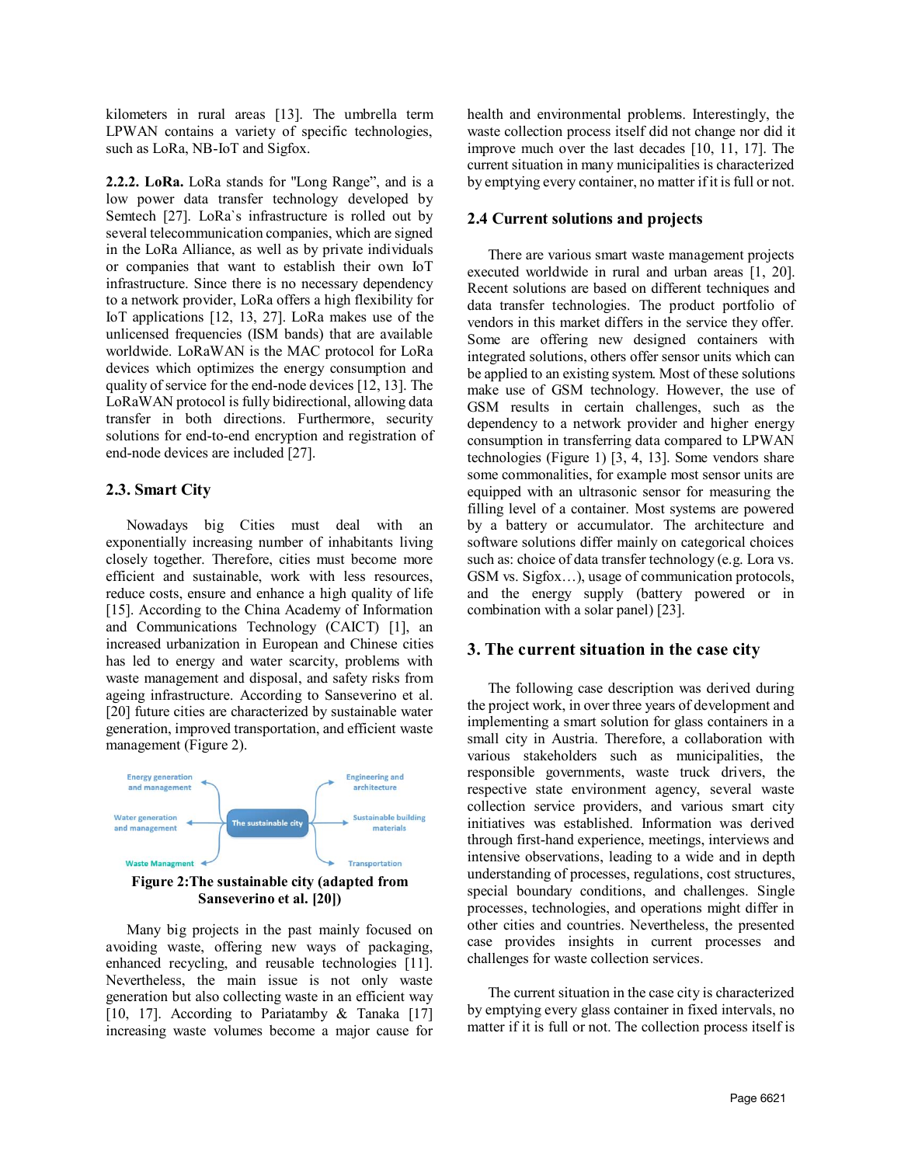kilometers in rural areas [13]. The umbrella term LPWAN contains a variety of specific technologies, such as LoRa, NB-IoT and Sigfox.

**2.2.2. LoRa.** LoRa stands for "Long Range", and is a low power data transfer technology developed by Semtech [27]. LoRa`s infrastructure is rolled out by several telecommunication companies, which are signed in the LoRa Alliance, as well as by private individuals or companies that want to establish their own IoT infrastructure. Since there is no necessary dependency to a network provider, LoRa offers a high flexibility for IoT applications [12, 13, 27]. LoRa makes use of the unlicensed frequencies (ISM bands) that are available worldwide. LoRaWAN is the MAC protocol for LoRa devices which optimizes the energy consumption and quality of service for the end-node devices [12, 13]. The LoRaWAN protocol is fully bidirectional, allowing data transfer in both directions. Furthermore, security solutions for end-to-end encryption and registration of end-node devices are included [27].

# **2.3. Smart City**

Nowadays big Cities must deal with an exponentially increasing number of inhabitants living closely together. Therefore, cities must become more efficient and sustainable, work with less resources, reduce costs, ensure and enhance a high quality of life [15]. According to the China Academy of Information and Communications Technology (CAICT) [1], an increased urbanization in European and Chinese cities has led to energy and water scarcity, problems with waste management and disposal, and safety risks from ageing infrastructure. According to Sanseverino et al. [20] future cities are characterized by sustainable water generation, improved transportation, and efficient waste management [\(Figure 2\)](#page-3-0).



<span id="page-3-0"></span>Many big projects in the past mainly focused on avoiding waste, offering new ways of packaging, enhanced recycling, and reusable technologies [11]. Nevertheless, the main issue is not only waste generation but also collecting waste in an efficient way [10, 17]. According to Pariatamby  $& Tanaka$  [17] increasing waste volumes become a major cause for

health and environmental problems. Interestingly, the waste collection process itself did not change nor did it improve much over the last decades [10, 11, 17]. The current situation in many municipalities is characterized by emptying every container, no matter if it is full or not.

# **2.4 Current solutions and projects**

There are various smart waste management projects executed worldwide in rural and urban areas [1, 20]. Recent solutions are based on different techniques and data transfer technologies. The product portfolio of vendors in this market differs in the service they offer. Some are offering new designed containers with integrated solutions, others offer sensor units which can be applied to an existing system. Most of these solutions make use of GSM technology. However, the use of GSM results in certain challenges, such as the dependency to a network provider and higher energy consumption in transferring data compared to LPWAN technologies (Figure 1) [3, 4, 13]. Some vendors share some commonalities, for example most sensor units are equipped with an ultrasonic sensor for measuring the filling level of a container. Most systems are powered by a battery or accumulator. The architecture and software solutions differ mainly on categorical choices such as: choice of data transfer technology (e.g. Lora vs. GSM vs. Sigfox…), usage of communication protocols, and the energy supply (battery powered or in combination with a solar panel) [23].

# **3. The current situation in the case city**

The following case description was derived during the project work, in over three years of development and implementing a smart solution for glass containers in a small city in Austria. Therefore, a collaboration with various stakeholders such as municipalities, the responsible governments, waste truck drivers, the respective state environment agency, several waste collection service providers, and various smart city initiatives was established. Information was derived through first-hand experience, meetings, interviews and intensive observations, leading to a wide and in depth understanding of processes, regulations, cost structures, special boundary conditions, and challenges. Single processes, technologies, and operations might differ in other cities and countries. Nevertheless, the presented case provides insights in current processes and challenges for waste collection services.

The current situation in the case city is characterized by emptying every glass container in fixed intervals, no matter if it is full or not. The collection process itself is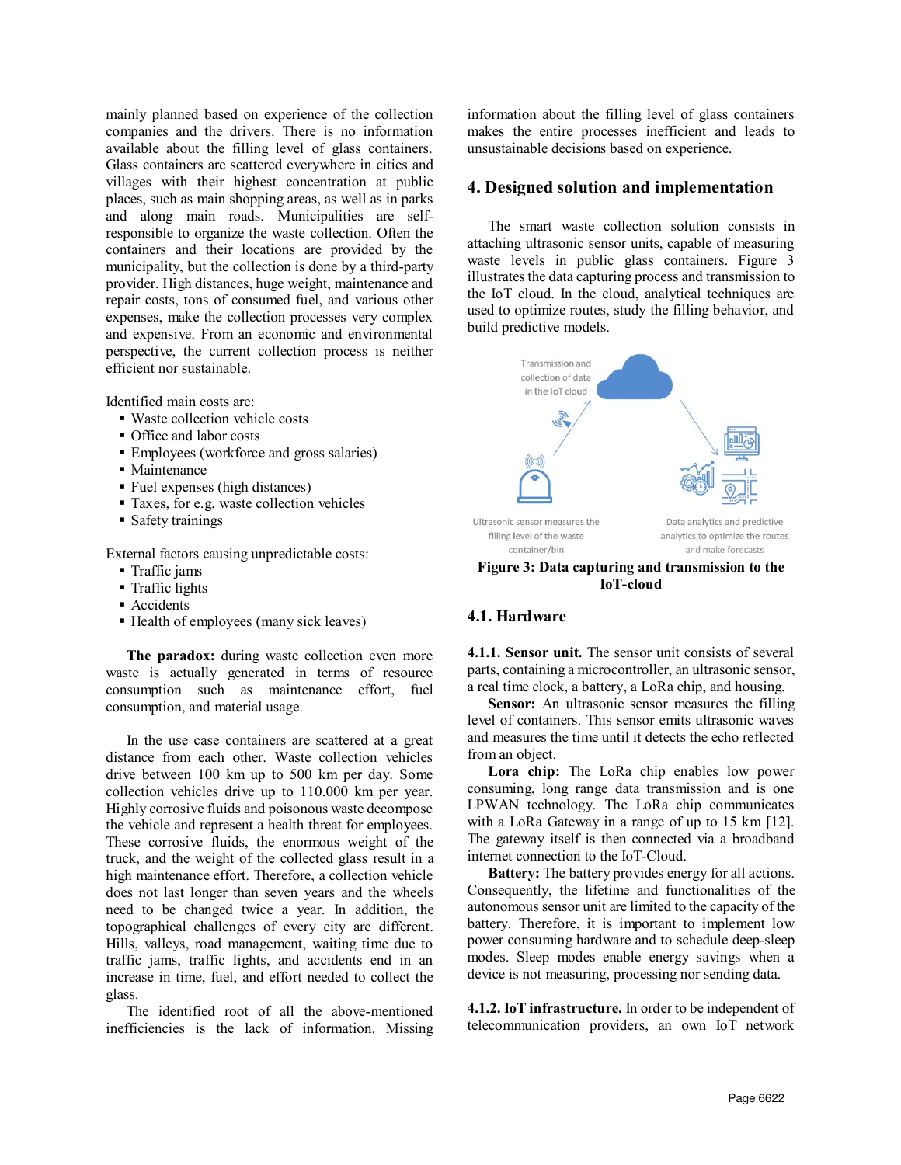mainly planned based on experience of the collection companies and the drivers. There is no information available about the filling level of glass containers. Glass containers are scattered everywhere in cities and villages with their highest concentration at public places, such as main shopping areas, as well as in parks and along main roads. Municipalities are selfresponsible to organize the waste collection. Often the containers and their locations are provided by the municipality, but the collection is done by a third-party provider. High distances, huge weight, maintenance and repair costs, tons of consumed fuel, and various other expenses, make the collection processes very complex and expensive. From an economic and environmental perspective, the current collection process is neither efficient nor sustainable.

Identified main costs are:

- Waste collection vehicle costs
- Office and labor costs
- Employees (workforce and gross salaries)
- Maintenance
- Fuel expenses (high distances)
- Taxes, for e.g. waste collection vehicles
- Safety trainings

External factors causing unpredictable costs:

- **Traffic jams**
- Traffic lights
- **Accidents**
- Health of employees (many sick leaves)

**The paradox:** during waste collection even more waste is actually generated in terms of resource consumption such as maintenance effort, fuel consumption, and material usage.

In the use case containers are scattered at a great distance from each other. Waste collection vehicles drive between 100 km up to 500 km per day. Some collection vehicles drive up to 110.000 km per year. Highly corrosive fluids and poisonous waste decompose the vehicle and represent a health threat for employees. These corrosive fluids, the enormous weight of the truck, and the weight of the collected glass result in a high maintenance effort. Therefore, a collection vehicle does not last longer than seven years and the wheels need to be changed twice a year. In addition, the topographical challenges of every city are different. Hills, valleys, road management, waiting time due to traffic jams, traffic lights, and accidents end in an increase in time, fuel, and effort needed to collect the glass.

The identified root of all the above-mentioned inefficiencies is the lack of information. Missing

information about the filling level of glass containers makes the entire processes inefficient and leads to unsustainable decisions based on experience.

#### **4. Designed solution and implementation**

The smart waste collection solution consists in attaching ultrasonic sensor units, capable of measuring waste levels in public glass containers. Figure 3 illustrates the data capturing process and transmission to the IoT cloud. In the cloud, analytical techniques are used to optimize routes, study the filling behavior, and build predictive models.



**Figure 3: Data capturing and transmission to the IoT-cloud**

## **4.1. Hardware**

**4.1.1. Sensor unit.** The sensor unit consists of several parts, containing a microcontroller, an ultrasonic sensor, a real time clock, a battery, a LoRa chip, and housing.

**Sensor:** An ultrasonic sensor measures the filling level of containers. This sensor emits ultrasonic waves and measures the time until it detects the echo reflected from an object.

**Lora chip:** The LoRa chip enables low power consuming, long range data transmission and is one LPWAN technology. The LoRa chip communicates with a LoRa Gateway in a range of up to 15 km [12]. The gateway itself is then connected via a broadband internet connection to the IoT-Cloud.

**Battery:** The battery provides energy for all actions. Consequently, the lifetime and functionalities of the autonomous sensor unit are limited to the capacity of the battery. Therefore, it is important to implement low power consuming hardware and to schedule deep-sleep modes. Sleep modes enable energy savings when a device is not measuring, processing nor sending data.

**4.1.2. IoT infrastructure.** In order to be independent of telecommunication providers, an own IoT network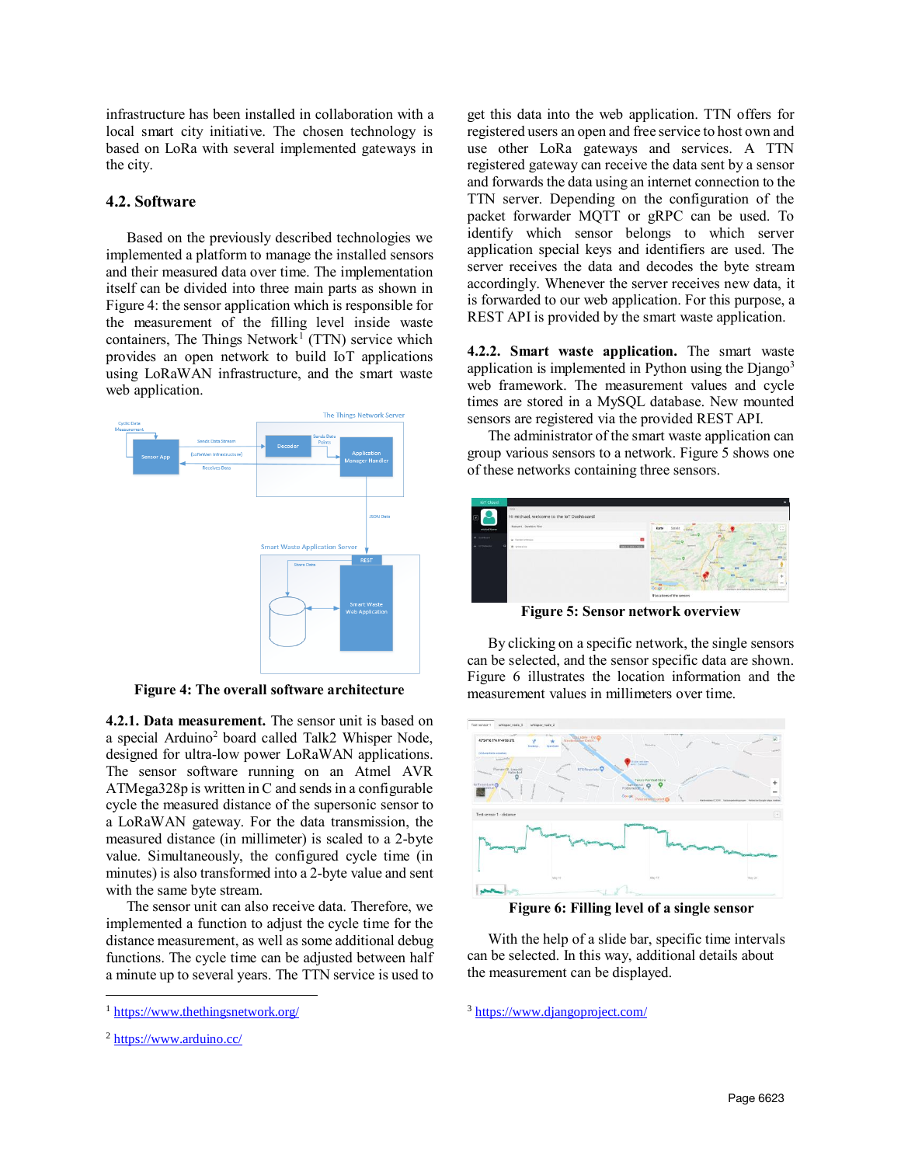infrastructure has been installed in collaboration with a local smart city initiative. The chosen technology is based on LoRa with several implemented gateways in the city.

# **4.2. Software**

Based on the previously described technologies we implemented a platform to manage the installed sensors and their measured data over time. The implementation itself can be divided into three main parts as shown in [Figure 4:](#page-5-0) the sensor application which is responsible for the measurement of the filling level inside waste containers, The Things Network<sup>1</sup> (TTN) service which provides an open network to build IoT applications using LoRaWAN infrastructure, and the smart waste web application.



<span id="page-5-0"></span>**Figure 4: The overall software architecture**

**4.2.1. Data measurement.** The sensor unit is based on a special Arduino<sup>2</sup> board called Talk2 Whisper Node, designed for ultra-low power LoRaWAN applications. The sensor software running on an Atmel AVR ATMega328p is written in C and sends in a configurable cycle the measured distance of the supersonic sensor to a LoRaWAN gateway. For the data transmission, the measured distance (in millimeter) is scaled to a 2-byte value. Simultaneously, the configured cycle time (in minutes) is also transformed into a 2-byte value and sent with the same byte stream.

The sensor unit can also receive data. Therefore, we implemented a function to adjust the cycle time for the distance measurement, as well as some additional debug functions. The cycle time can be adjusted between half a minute up to several years. The TTN service is used to

 $\overline{a}$ 

get this data into the web application. TTN offers for registered users an open and free service to host own and use other LoRa gateways and services. A TTN registered gateway can receive the data sent by a sensor and forwards the data using an internet connection to the TTN server. Depending on the configuration of the packet forwarder MQTT or gRPC can be used. To identify which sensor belongs to which server application special keys and identifiers are used. The server receives the data and decodes the byte stream accordingly. Whenever the server receives new data, it is forwarded to our web application. For this purpose, a REST API is provided by the smart waste application.

**4.2.2. Smart waste application.** The smart waste application is implemented in Python using the  $D$ jango<sup>3</sup> web framework. The measurement values and cycle times are stored in a MySQL database. New mounted sensors are registered via the provided REST API.

The administrator of the smart waste application can group various sensors to a network. [Figure 5](#page-5-1) shows one of these networks containing three sensors.



**Figure 5: Sensor network overview**

<span id="page-5-1"></span>By clicking on a specific network, the single sensors can be selected, and the sensor specific data are shown. [Figure 6](#page-5-2) illustrates the location information and the measurement values in millimeters over time.



**Figure 6: Filling level of a single sensor**

<span id="page-5-2"></span>With the help of a slide bar, specific time intervals can be selected. In this way, additional details about the measurement can be displayed.

<sup>3</sup> <https://www.djangoproject.com/>

<sup>1</sup> <https://www.thethingsnetwork.org/>

<sup>2</sup> <https://www.arduino.cc/>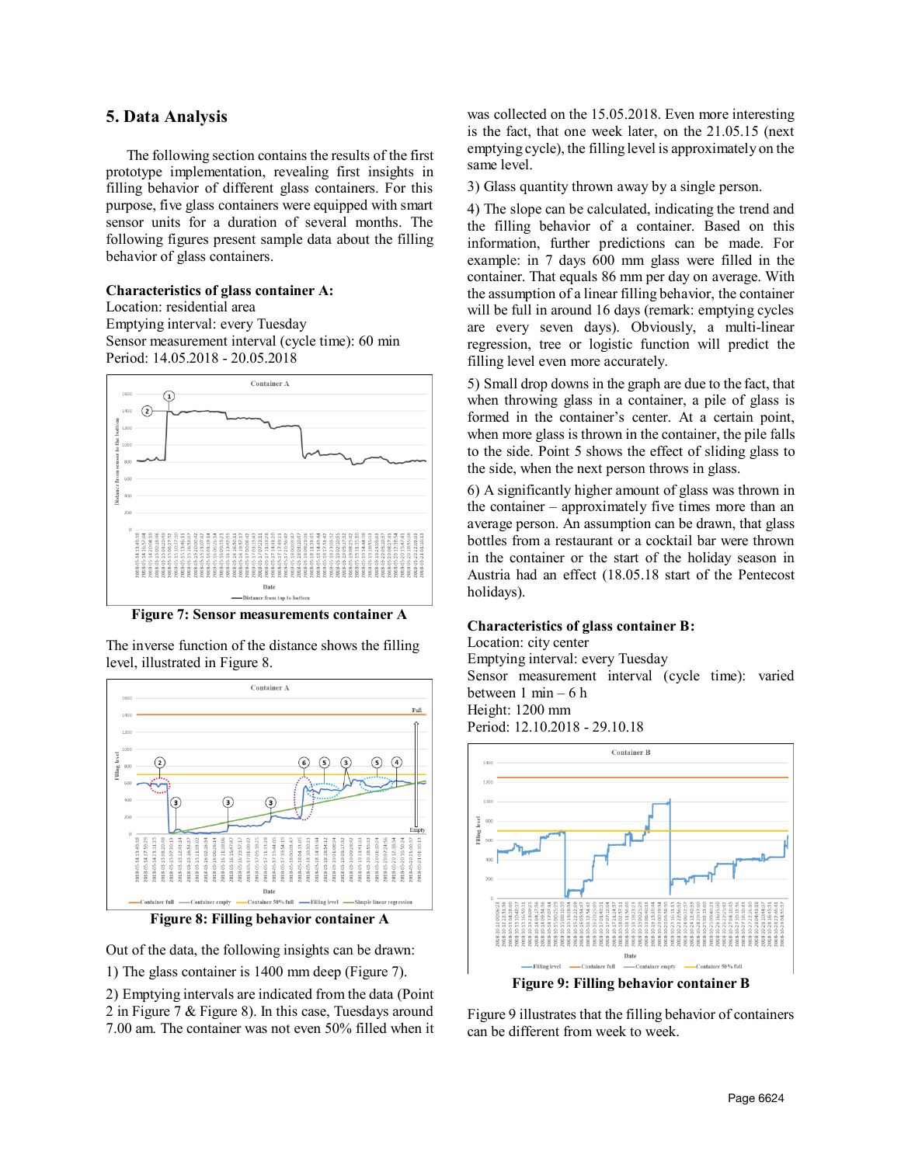# **5. Data Analysis**

The following section contains the results of the first prototype implementation, revealing first insights in filling behavior of different glass containers. For this purpose, five glass containers were equipped with smart sensor units for a duration of several months. The following figures present sample data about the filling behavior of glass containers.

#### **Characteristics of glass container A:**

Location: residential area Emptying interval: every Tuesday Sensor measurement interval (cycle time): 60 min Period: 14.05.2018 - 20.05.2018



<span id="page-6-0"></span>**Figure 7: Sensor measurements container A**

The inverse function of the distance shows the filling level, illustrated in Figure 8.



**Figure 8: Filling behavior container A**

Out of the data, the following insights can be drawn:

1) The glass container is 1400 mm deep [\(Figure 7\)](#page-6-0).

2) Emptying intervals are indicated from the data (Point 2 in Figure 7 & Figure 8). In this case, Tuesdays around 7.00 am. The container was not even 50% filled when it

was collected on the 15.05.2018. Even more interesting is the fact, that one week later, on the 21.05.15 (next emptying cycle), the filling level is approximately on the same level.

3) Glass quantity thrown away by a single person.

4) The slope can be calculated, indicating the trend and the filling behavior of a container. Based on this information, further predictions can be made. For example: in 7 days 600 mm glass were filled in the container. That equals 86 mm per day on average. With the assumption of a linear filling behavior, the container will be full in around 16 days (remark: emptying cycles are every seven days). Obviously, a multi-linear regression, tree or logistic function will predict the filling level even more accurately.

5) Small drop downs in the graph are due to the fact, that when throwing glass in a container, a pile of glass is formed in the container's center. At a certain point, when more glass is thrown in the container, the pile falls to the side. Point 5 shows the effect of sliding glass to the side, when the next person throws in glass.

6) A significantly higher amount of glass was thrown in the container – approximately five times more than an average person. An assumption can be drawn, that glass bottles from a restaurant or a cocktail bar were thrown in the container or the start of the holiday season in Austria had an effect (18.05.18 start of the Pentecost holidays).

#### **Characteristics of glass container B:**

Location: city center Emptying interval: every Tuesday Sensor measurement interval (cycle time): varied between 1 min – 6 h Height: 1200 mm Period: 12.10.2018 - 29.10.18



**Figure 9: Filling behavior container B**

<span id="page-6-1"></span>[Figure 9](#page-6-1) illustrates that the filling behavior of containers can be different from week to week.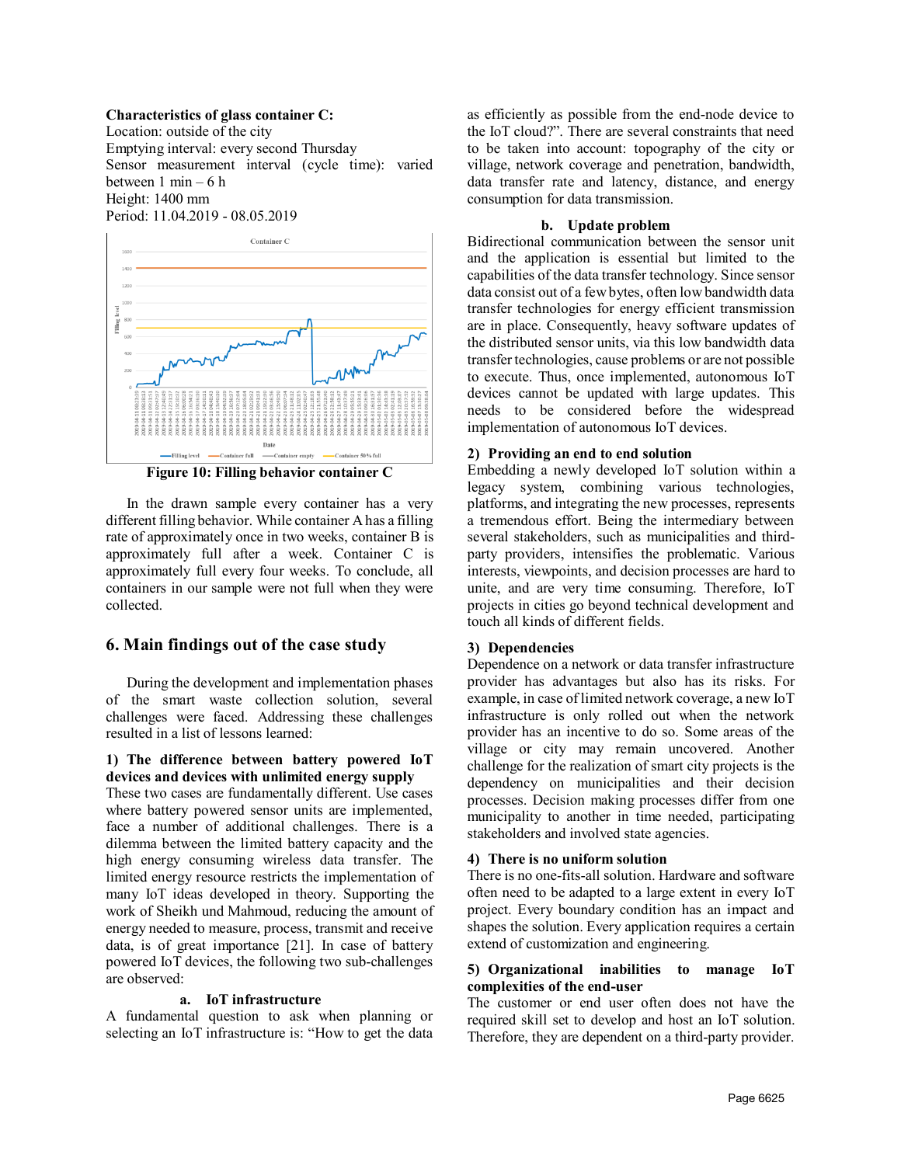#### **Characteristics of glass container C:**

Location: outside of the city Emptying interval: every second Thursday Sensor measurement interval (cycle time): varied between  $1 \text{ min} - 6 \text{ h}$ Height: 1400 mm Period: 11.04.2019 - 08.05.2019



**Figure 10: Filling behavior container C**

In the drawn sample every container has a very different filling behavior. While container Ahas a filling rate of approximately once in two weeks, container B is approximately full after a week. Container C is approximately full every four weeks. To conclude, all containers in our sample were not full when they were collected.

#### **6. Main findings out of the case study**

During the development and implementation phases of the smart waste collection solution, several challenges were faced. Addressing these challenges resulted in a list of lessons learned:

# **1) The difference between battery powered IoT devices and devices with unlimited energy supply**

These two cases are fundamentally different. Use cases where battery powered sensor units are implemented, face a number of additional challenges. There is a dilemma between the limited battery capacity and the high energy consuming wireless data transfer. The limited energy resource restricts the implementation of many IoT ideas developed in theory. Supporting the work of Sheikh und Mahmoud, reducing the amount of energy needed to measure, process, transmit and receive data, is of great importance [21]. In case of battery powered IoT devices, the following two sub-challenges are observed:

#### **a. IoT infrastructure**

A fundamental question to ask when planning or selecting an IoT infrastructure is: "How to get the data as efficiently as possible from the end-node device to the IoT cloud?". There are several constraints that need to be taken into account: topography of the city or village, network coverage and penetration, bandwidth, data transfer rate and latency, distance, and energy consumption for data transmission.

#### **b. Update problem**

Bidirectional communication between the sensor unit and the application is essential but limited to the capabilities of the data transfer technology. Since sensor data consist out of a few bytes, often low bandwidth data transfer technologies for energy efficient transmission are in place. Consequently, heavy software updates of the distributed sensor units, via this low bandwidth data transfer technologies, cause problems or are not possible to execute. Thus, once implemented, autonomous IoT devices cannot be updated with large updates. This needs to be considered before the widespread implementation of autonomous IoT devices.

#### **2) Providing an end to end solution**

Embedding a newly developed IoT solution within a legacy system, combining various technologies, platforms, and integrating the new processes, represents a tremendous effort. Being the intermediary between several stakeholders, such as municipalities and thirdparty providers, intensifies the problematic. Various interests, viewpoints, and decision processes are hard to unite, and are very time consuming. Therefore, IoT projects in cities go beyond technical development and touch all kinds of different fields.

#### **3) Dependencies**

Dependence on a network or data transfer infrastructure provider has advantages but also has its risks. For example, in case of limited network coverage, a new IoT infrastructure is only rolled out when the network provider has an incentive to do so. Some areas of the village or city may remain uncovered. Another challenge for the realization of smart city projects is the dependency on municipalities and their decision processes. Decision making processes differ from one municipality to another in time needed, participating stakeholders and involved state agencies.

# **4) There is no uniform solution**

There is no one-fits-all solution. Hardware and software often need to be adapted to a large extent in every IoT project. Every boundary condition has an impact and shapes the solution. Every application requires a certain extend of customization and engineering.

### **5) Organizational inabilities to manage IoT complexities of the end-user**

The customer or end user often does not have the required skill set to develop and host an IoT solution. Therefore, they are dependent on a third-party provider.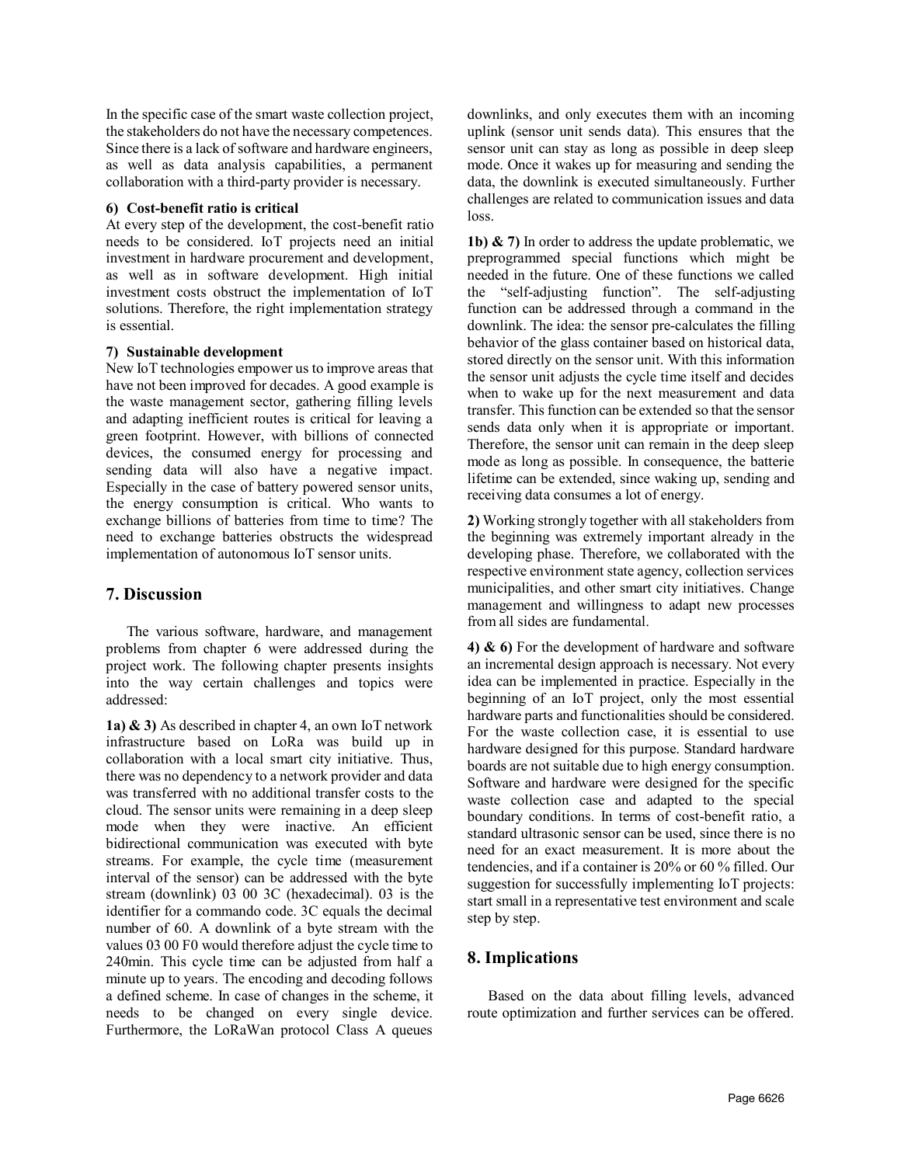In the specific case of the smart waste collection project, the stakeholders do not have the necessary competences. Since there is a lack of software and hardware engineers, as well as data analysis capabilities, a permanent collaboration with a third-party provider is necessary.

#### **6) Cost-benefit ratio is critical**

At every step of the development, the cost-benefit ratio needs to be considered. IoT projects need an initial investment in hardware procurement and development, as well as in software development. High initial investment costs obstruct the implementation of IoT solutions. Therefore, the right implementation strategy is essential.

# **7) Sustainable development**

New IoT technologies empower us to improve areas that have not been improved for decades. A good example is the waste management sector, gathering filling levels and adapting inefficient routes is critical for leaving a green footprint. However, with billions of connected devices, the consumed energy for processing and sending data will also have a negative impact. Especially in the case of battery powered sensor units, the energy consumption is critical. Who wants to exchange billions of batteries from time to time? The need to exchange batteries obstructs the widespread implementation of autonomous IoT sensor units.

# **7. Discussion**

The various software, hardware, and management problems from chapter 6 were addressed during the project work. The following chapter presents insights into the way certain challenges and topics were addressed:

**1a) & 3)** As described in chapter 4, an own IoT network infrastructure based on LoRa was build up in collaboration with a local smart city initiative. Thus, there was no dependency to a network provider and data was transferred with no additional transfer costs to the cloud. The sensor units were remaining in a deep sleep mode when they were inactive. An efficient bidirectional communication was executed with byte streams. For example, the cycle time (measurement interval of the sensor) can be addressed with the byte stream (downlink) 03 00 3C (hexadecimal). 03 is the identifier for a commando code. 3C equals the decimal number of 60. A downlink of a byte stream with the values 03 00 F0 would therefore adjust the cycle time to 240min. This cycle time can be adjusted from half a minute up to years. The encoding and decoding follows a defined scheme. In case of changes in the scheme, it needs to be changed on every single device. Furthermore, the LoRaWan protocol Class A queues downlinks, and only executes them with an incoming uplink (sensor unit sends data). This ensures that the sensor unit can stay as long as possible in deep sleep mode. Once it wakes up for measuring and sending the data, the downlink is executed simultaneously. Further challenges are related to communication issues and data loss.

**1b) & 7)** In order to address the update problematic, we preprogrammed special functions which might be needed in the future. One of these functions we called the "self-adjusting function". The self-adjusting function can be addressed through a command in the downlink. The idea: the sensor pre-calculates the filling behavior of the glass container based on historical data, stored directly on the sensor unit. With this information the sensor unit adjusts the cycle time itself and decides when to wake up for the next measurement and data transfer. This function can be extended so that the sensor sends data only when it is appropriate or important. Therefore, the sensor unit can remain in the deep sleep mode as long as possible. In consequence, the batterie lifetime can be extended, since waking up, sending and receiving data consumes a lot of energy.

**2)** Working strongly together with all stakeholders from the beginning was extremely important already in the developing phase. Therefore, we collaborated with the respective environment state agency, collection services municipalities, and other smart city initiatives. Change management and willingness to adapt new processes from all sides are fundamental.

**4) & 6)** For the development of hardware and software an incremental design approach is necessary. Not every idea can be implemented in practice. Especially in the beginning of an IoT project, only the most essential hardware parts and functionalities should be considered. For the waste collection case, it is essential to use hardware designed for this purpose. Standard hardware boards are not suitable due to high energy consumption. Software and hardware were designed for the specific waste collection case and adapted to the special boundary conditions. In terms of cost-benefit ratio, a standard ultrasonic sensor can be used, since there is no need for an exact measurement. It is more about the tendencies, and if a container is 20% or 60 % filled. Our suggestion for successfully implementing IoT projects: start small in a representative test environment and scale step by step.

# **8. Implications**

Based on the data about filling levels, advanced route optimization and further services can be offered.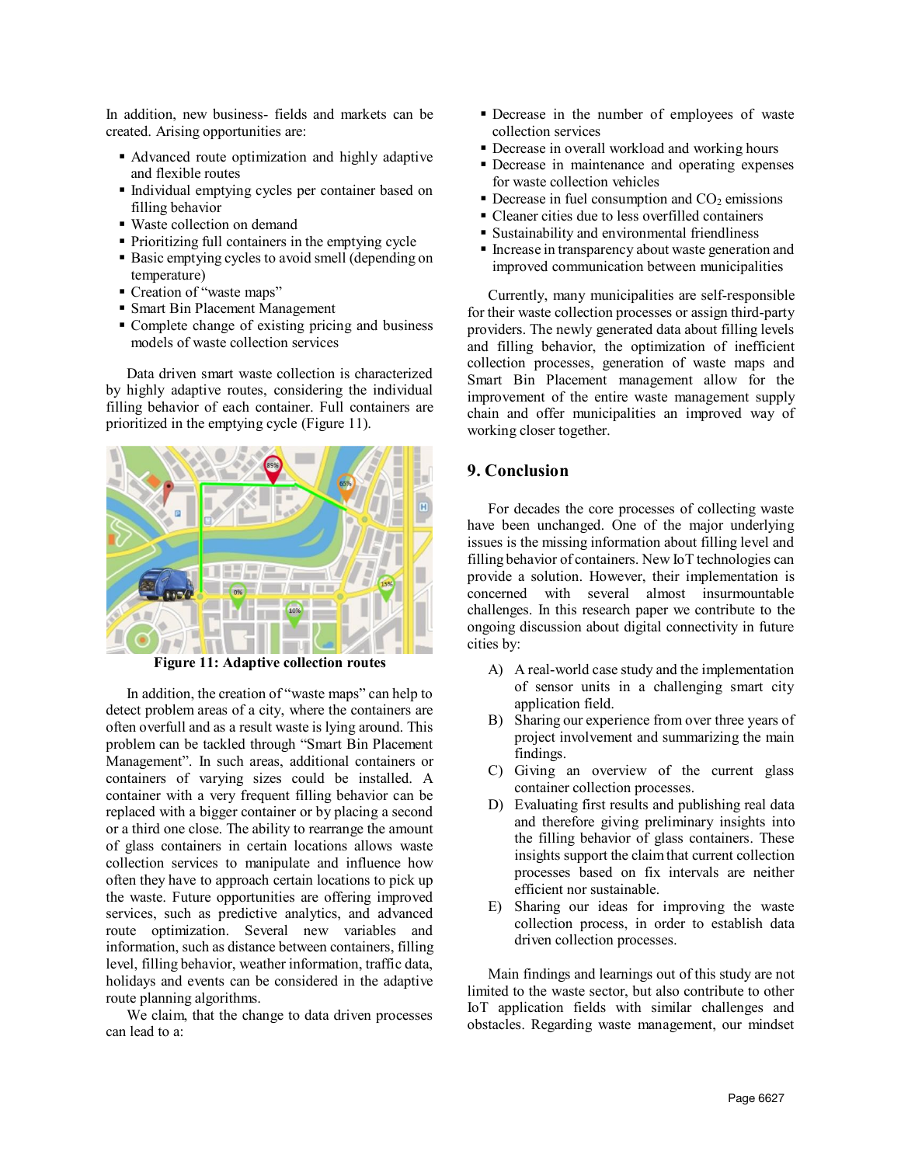In addition, new business- fields and markets can be created. Arising opportunities are:

- Advanced route optimization and highly adaptive and flexible routes
- Individual emptying cycles per container based on filling behavior
- Waste collection on demand
- Prioritizing full containers in the emptying cycle
- **Basic emptying cycles to avoid smell (depending on** temperature)
- Creation of "waste maps"
- Smart Bin Placement Management
- Complete change of existing pricing and business models of waste collection services

Data driven smart waste collection is characterized by highly adaptive routes, considering the individual filling behavior of each container. Full containers are prioritized in the emptying cycle [\(Figure 11\)](#page-9-0).



**Figure 11: Adaptive collection routes**

<span id="page-9-0"></span>In addition, the creation of "waste maps" can help to detect problem areas of a city, where the containers are often overfull and as a result waste is lying around. This problem can be tackled through "Smart Bin Placement Management". In such areas, additional containers or containers of varying sizes could be installed. A container with a very frequent filling behavior can be replaced with a bigger container or by placing a second or a third one close. The ability to rearrange the amount of glass containers in certain locations allows waste collection services to manipulate and influence how often they have to approach certain locations to pick up the waste. Future opportunities are offering improved services, such as predictive analytics, and advanced route optimization. Several new variables and information, such as distance between containers, filling level, filling behavior, weather information, traffic data, holidays and events can be considered in the adaptive route planning algorithms.

We claim, that the change to data driven processes can lead to a:

- Decrease in the number of employees of waste collection services
- Decrease in overall workload and working hours
- Decrease in maintenance and operating expenses for waste collection vehicles
- $\blacksquare$  Decrease in fuel consumption and CO<sub>2</sub> emissions
- Cleaner cities due to less overfilled containers
- Sustainability and environmental friendliness
- **Increase in transparency about waste generation and** improved communication between municipalities

Currently, many municipalities are self-responsible for their waste collection processes or assign third-party providers. The newly generated data about filling levels and filling behavior, the optimization of inefficient collection processes, generation of waste maps and Smart Bin Placement management allow for the improvement of the entire waste management supply chain and offer municipalities an improved way of working closer together.

# **9. Conclusion**

For decades the core processes of collecting waste have been unchanged. One of the major underlying issues is the missing information about filling level and filling behavior of containers. New IoT technologies can provide a solution. However, their implementation is concerned with several almost insurmountable challenges. In this research paper we contribute to the ongoing discussion about digital connectivity in future cities by:

- A) A real-world case study and the implementation of sensor units in a challenging smart city application field.
- B) Sharing our experience from over three years of project involvement and summarizing the main findings.
- C) Giving an overview of the current glass container collection processes.
- D) Evaluating first results and publishing real data and therefore giving preliminary insights into the filling behavior of glass containers. These insights support the claim that current collection processes based on fix intervals are neither efficient nor sustainable.
- E) Sharing our ideas for improving the waste collection process, in order to establish data driven collection processes.

Main findings and learnings out of this study are not limited to the waste sector, but also contribute to other IoT application fields with similar challenges and obstacles. Regarding waste management, our mindset